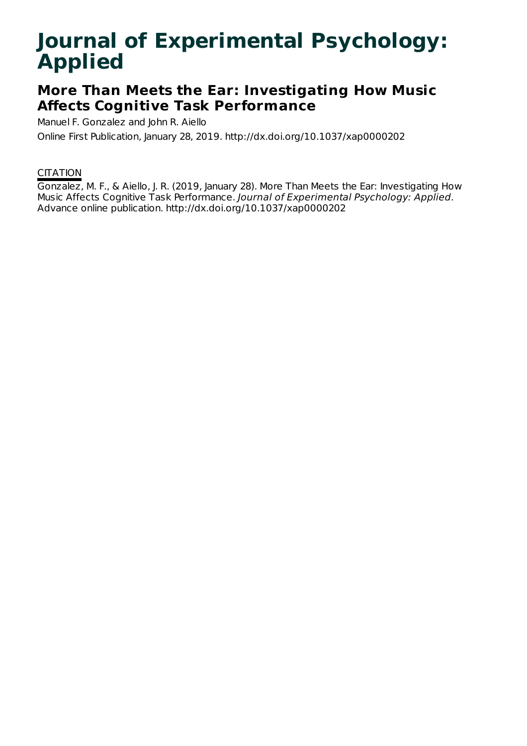# **Journal of Experimental Psychology: Applied**

## **More Than Meets the Ear: Investigating How Music Affects Cognitive Task Performance**

Manuel F. Gonzalez and John R. Aiello

Online First Publication, January 28, 2019. http://dx.doi.org/10.1037/xap0000202

### **CITATION**

Gonzalez, M. F., & Aiello, J. R. (2019, January 28). More Than Meets the Ear: Investigating How Music Affects Cognitive Task Performance. Journal of Experimental Psychology: Applied. Advance online publication. http://dx.doi.org/10.1037/xap0000202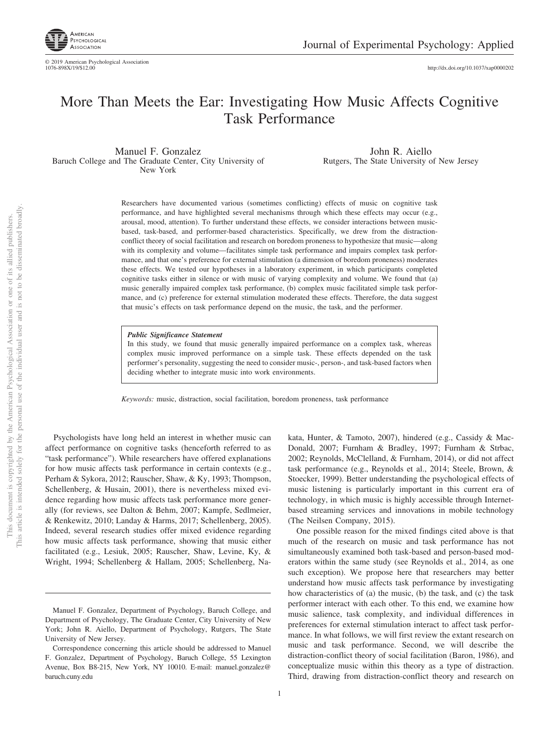

http://dx.doi.org[/10.1037/xap0000202](http://dx.doi.org/10.1037/xap0000202)

### More Than Meets the Ear: Investigating How Music Affects Cognitive Task Performance

Manuel F. Gonzalez Baruch College and The Graduate Center, City University of New York

John R. Aiello Rutgers, The State University of New Jersey

Researchers have documented various (sometimes conflicting) effects of music on cognitive task performance, and have highlighted several mechanisms through which these effects may occur (e.g., arousal, mood, attention). To further understand these effects, we consider interactions between musicbased, task-based, and performer-based characteristics. Specifically, we drew from the distractionconflict theory of social facilitation and research on boredom proneness to hypothesize that music—along with its complexity and volume—facilitates simple task performance and impairs complex task performance, and that one's preference for external stimulation (a dimension of boredom proneness) moderates these effects. We tested our hypotheses in a laboratory experiment, in which participants completed cognitive tasks either in silence or with music of varying complexity and volume. We found that (a) music generally impaired complex task performance, (b) complex music facilitated simple task performance, and (c) preference for external stimulation moderated these effects. Therefore, the data suggest that music's effects on task performance depend on the music, the task, and the performer.

#### *Public Significance Statement*

In this study, we found that music generally impaired performance on a complex task, whereas complex music improved performance on a simple task. These effects depended on the task performer's personality, suggesting the need to consider music-, person-, and task-based factors when deciding whether to integrate music into work environments.

*Keywords:* music, distraction, social facilitation, boredom proneness, task performance

Psychologists have long held an interest in whether music can affect performance on cognitive tasks (henceforth referred to as "task performance"). While researchers have offered explanations for how music affects task performance in certain contexts (e.g., Perham & Sykora, 2012; Rauscher, Shaw, & Ky, 1993; Thompson, Schellenberg, & Husain, 2001), there is nevertheless mixed evidence regarding how music affects task performance more generally (for reviews, see Dalton & Behm, 2007; [Kampfe, Sedlmeier,](#page-12-0) [& Renkewitz, 2010;](#page-12-0) [Landay & Harms, 2017;](#page-12-1) Schellenberg, 2005). Indeed, several research studies offer mixed evidence regarding how music affects task performance, showing that music either facilitated (e.g., Lesiuk, 2005; Rauscher, Shaw, Levine, Ky, & Wright, 1994; Schellenberg & Hallam, 2005; Schellenberg, Nakata, Hunter, & Tamoto, 2007), hindered (e.g., Cassidy & Mac-Donald, 2007; Furnham & Bradley, 1997; Furnham & Strbac, 2002; Reynolds, McClelland, & Furnham, 2014), or did not affect task performance (e.g., Reynolds et al., 2014; Steele, Brown, & Stoecker, 1999). Better understanding the psychological effects of music listening is particularly important in this current era of technology, in which music is highly accessible through Internetbased streaming services and innovations in mobile technology (The Neilsen Company, 2015).

One possible reason for the mixed findings cited above is that much of the research on music and task performance has not simultaneously examined both task-based and person-based moderators within the same study (see Reynolds et al., 2014, as one such exception). We propose here that researchers may better understand how music affects task performance by investigating how characteristics of (a) the music, (b) the task, and (c) the task performer interact with each other. To this end, we examine how music salience, task complexity, and individual differences in preferences for external stimulation interact to affect task performance. In what follows, we will first review the extant research on music and task performance. Second, we will describe the distraction-conflict theory of social facilitation [\(Baron, 1986\)](#page-11-0), and conceptualize music within this theory as a type of distraction. Third, drawing from distraction-conflict theory and research on

Manuel F. Gonzalez, Department of Psychology, Baruch College, and Department of Psychology, The Graduate Center, City University of New York; John R. Aiello, Department of Psychology, Rutgers, The State University of New Jersey.

Correspondence concerning this article should be addressed to Manuel F. Gonzalez, Department of Psychology, Baruch College, 55 Lexington Avenue, Box B8-215, New York, NY 10010. E-mail: [manuel.gonzalez@](mailto:manuel.gonzalez@baruch.cuny.edu) [baruch.cuny.edu](mailto:manuel.gonzalez@baruch.cuny.edu)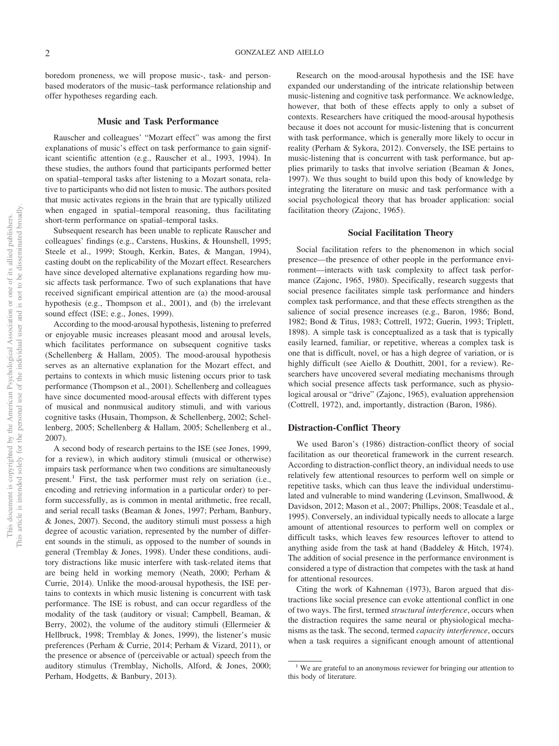boredom proneness, we will propose music-, task- and personbased moderators of the music–task performance relationship and offer hypotheses regarding each.

#### **Music and Task Performance**

Rauscher and colleagues' "Mozart effect" was among the first explanations of music's effect on task performance to gain significant scientific attention (e.g., Rauscher et al., 1993, 1994). In these studies, the authors found that participants performed better on spatial–temporal tasks after listening to a Mozart sonata, relative to participants who did not listen to music. The authors posited that music activates regions in the brain that are typically utilized when engaged in spatial–temporal reasoning, thus facilitating short-term performance on spatial–temporal tasks.

Subsequent research has been unable to replicate Rauscher and colleagues' findings (e.g., Carstens, Huskins, & Hounshell, 1995; Steele et al., 1999; Stough, Kerkin, Bates, & Mangan, 1994), casting doubt on the replicability of the Mozart effect. Researchers have since developed alternative explanations regarding how music affects task performance. Two of such explanations that have received significant empirical attention are (a) the mood-arousal hypothesis (e.g., Thompson et al., 2001), and (b) the irrelevant sound effect (ISE; e.g., Jones, 1999).

According to the mood-arousal hypothesis, listening to preferred or enjoyable music increases pleasant mood and arousal levels, which facilitates performance on subsequent cognitive tasks (Schellenberg & Hallam, 2005). The mood-arousal hypothesis serves as an alternative explanation for the Mozart effect, and pertains to contexts in which music listening occurs prior to task performance (Thompson et al., 2001). Schellenberg and colleagues have since documented mood-arousal effects with different types of musical and nonmusical auditory stimuli, and with various cognitive tasks (Husain, Thompson, & Schellenberg, 2002; Schellenberg, 2005; Schellenberg & Hallam, 2005; Schellenberg et al., 2007).

A second body of research pertains to the ISE (see Jones, 1999, for a review), in which auditory stimuli (musical or otherwise) impairs task performance when two conditions are simultaneously present.<sup>1</sup> First, the task performer must rely on seriation (i.e., encoding and retrieving information in a particular order) to perform successfully, as is common in mental arithmetic, free recall, and serial recall tasks (Beaman & Jones, 1997; Perham, Banbury, & Jones, 2007). Second, the auditory stimuli must possess a high degree of acoustic variation, represented by the number of different sounds in the stimuli, as opposed to the number of sounds in general (Tremblay & Jones, 1998). Under these conditions, auditory distractions like music interfere with task-related items that are being held in working memory (Neath, 2000; [Perham &](#page-13-0) [Currie, 2014\)](#page-13-0). Unlike the mood-arousal hypothesis, the ISE pertains to contexts in which music listening is concurrent with task performance. The ISE is robust, and can occur regardless of the modality of the task (auditory or visual; Campbell, Beaman, & Berry, 2002), the volume of the auditory stimuli (Ellermeier  $\&$ Hellbruck, 1998; Tremblay & Jones, 1999), the listener's music preferences [\(Perham & Currie, 2014;](#page-13-0) Perham & Vizard, 2011), or the presence or absence of (perceivable or actual) speech from the auditory stimulus (Tremblay, Nicholls, Alford, & Jones, 2000; [Perham, Hodgetts, & Banbury, 2013\)](#page-13-1).

Research on the mood-arousal hypothesis and the ISE have expanded our understanding of the intricate relationship between music-listening and cognitive task performance. We acknowledge, however, that both of these effects apply to only a subset of contexts. Researchers have critiqued the mood-arousal hypothesis because it does not account for music-listening that is concurrent with task performance, which is generally more likely to occur in reality (Perham & Sykora, 2012). Conversely, the ISE pertains to music-listening that is concurrent with task performance, but applies primarily to tasks that involve seriation (Beaman & Jones, 1997). We thus sought to build upon this body of knowledge by integrating the literature on music and task performance with a social psychological theory that has broader application: social facilitation theory (Zajonc, 1965).

#### **Social Facilitation Theory**

Social facilitation refers to the phenomenon in which social presence—the presence of other people in the performance environment—interacts with task complexity to affect task performance (Zajonc, 1965, 1980). Specifically, research suggests that social presence facilitates simple task performance and hinders complex task performance, and that these effects strengthen as the salience of social presence increases (e.g., [Baron, 1986;](#page-11-0) Bond, 1982; Bond & Titus, 1983; Cottrell, 1972; Guerin, 1993; Triplett, 1898). A simple task is conceptualized as a task that is typically easily learned, familiar, or repetitive, whereas a complex task is one that is difficult, novel, or has a high degree of variation, or is highly difficult (see Aiello & Douthitt, 2001, for a review). Researchers have uncovered several mediating mechanisms through which social presence affects task performance, such as physiological arousal or "drive" (Zajonc, 1965), evaluation apprehension (Cottrell, 1972), and, importantly, distraction [\(Baron, 1986\)](#page-11-0).

#### **Distraction-Conflict Theory**

We used [Baron's \(1986\)](#page-11-0) distraction-conflict theory of social facilitation as our theoretical framework in the current research. According to distraction-conflict theory, an individual needs to use relatively few attentional resources to perform well on simple or repetitive tasks, which can thus leave the individual understimulated and vulnerable to mind wandering [\(Levinson, Smallwood, &](#page-12-2) [Davidson, 2012;](#page-12-2) Mason et al., 2007; Phillips, 2008; Teasdale et al., 1995). Conversely, an individual typically needs to allocate a large amount of attentional resources to perform well on complex or difficult tasks, which leaves few resources leftover to attend to anything aside from the task at hand [\(Baddeley & Hitch, 1974\)](#page-11-1). The addition of social presence in the performance environment is considered a type of distraction that competes with the task at hand for attentional resources.

Citing the work of Kahneman (1973), Baron argued that distractions like social presence can evoke attentional conflict in one of two ways. The first, termed *structural interference*, occurs when the distraction requires the same neural or physiological mechanisms as the task. The second, termed *capacity interference*, occurs when a task requires a significant enough amount of attentional

<sup>&</sup>lt;sup>1</sup> We are grateful to an anonymous reviewer for bringing our attention to this body of literature.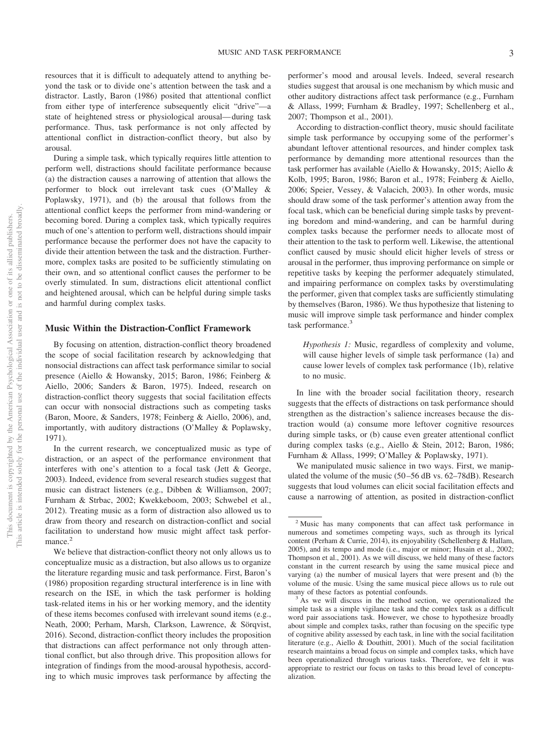resources that it is difficult to adequately attend to anything beyond the task or to divide one's attention between the task and a distractor. Lastly, [Baron \(1986\)](#page-11-0) posited that attentional conflict from either type of interference subsequently elicit "drive"—a state of heightened stress or physiological arousal— during task performance. Thus, task performance is not only affected by attentional conflict in distraction-conflict theory, but also by arousal.

During a simple task, which typically requires little attention to perform well, distractions should facilitate performance because (a) the distraction causes a narrowing of attention that allows the performer to block out irrelevant task cues [\(O'Malley &](#page-12-3) [Poplawsky, 1971\)](#page-12-3), and (b) the arousal that follows from the attentional conflict keeps the performer from mind-wandering or becoming bored. During a complex task, which typically requires much of one's attention to perform well, distractions should impair performance because the performer does not have the capacity to divide their attention between the task and the distraction. Furthermore, complex tasks are posited to be sufficiently stimulating on their own, and so attentional conflict causes the performer to be overly stimulated. In sum, distractions elicit attentional conflict and heightened arousal, which can be helpful during simple tasks and harmful during complex tasks.

#### **Music Within the Distraction-Conflict Framework**

By focusing on attention, distraction-conflict theory broadened the scope of social facilitation research by acknowledging that nonsocial distractions can affect task performance similar to social presence (Aiello & Howansky, 2015; [Baron, 1986;](#page-11-0) Feinberg & Aiello, 2006; Sanders & Baron, 1975). Indeed, research on distraction-conflict theory suggests that social facilitation effects can occur with nonsocial distractions such as competing tasks (Baron, Moore, & Sanders, 1978; Feinberg & Aiello, 2006), and, importantly, with auditory distractions [\(O'Malley & Poplawsky,](#page-12-3) [1971\)](#page-12-3).

In the current research, we conceptualized music as type of distraction, or an aspect of the performance environment that interferes with one's attention to a focal task (Jett & George, 2003). Indeed, evidence from several research studies suggest that music can distract listeners (e.g., Dibben & Williamson, 2007; Furnham & Strbac, 2002; Kwekkeboom, 2003; Schwebel et al., 2012). Treating music as a form of distraction also allowed us to draw from theory and research on distraction-conflict and social facilitation to understand how music might affect task performance.<sup>2</sup>

We believe that distraction-conflict theory not only allows us to conceptualize music as a distraction, but also allows us to organize the literature regarding music and task performance. First, [Baron's](#page-11-0) [\(1986\)](#page-11-0) proposition regarding structural interference is in line with research on the ISE, in which the task performer is holding task-related items in his or her working memory, and the identity of these items becomes confused with irrelevant sound items (e.g., Neath, 2000; [Perham, Marsh, Clarkson, Lawrence, & Sörqvist,](#page-13-2) [2016\)](#page-13-2). Second, distraction-conflict theory includes the proposition that distractions can affect performance not only through attentional conflict, but also through drive. This proposition allows for integration of findings from the mood-arousal hypothesis, according to which music improves task performance by affecting the

performer's mood and arousal levels. Indeed, several research studies suggest that arousal is one mechanism by which music and other auditory distractions affect task performance (e.g., Furnham & Allass, 1999; Furnham & Bradley, 1997; Schellenberg et al., 2007; Thompson et al., 2001).

According to distraction-conflict theory, music should facilitate simple task performance by occupying some of the performer's abundant leftover attentional resources, and hinder complex task performance by demanding more attentional resources than the task performer has available (Aiello & Howansky, 2015; Aiello & Kolb, 1995; [Baron, 1986;](#page-11-0) Baron et al., 1978; Feinberg & Aiello, 2006; Speier, Vessey, & Valacich, 2003). In other words, music should draw some of the task performer's attention away from the focal task, which can be beneficial during simple tasks by preventing boredom and mind-wandering, and can be harmful during complex tasks because the performer needs to allocate most of their attention to the task to perform well. Likewise, the attentional conflict caused by music should elicit higher levels of stress or arousal in the performer, thus improving performance on simple or repetitive tasks by keeping the performer adequately stimulated, and impairing performance on complex tasks by overstimulating the performer, given that complex tasks are sufficiently stimulating by themselves [\(Baron, 1986\)](#page-11-0). We thus hypothesize that listening to music will improve simple task performance and hinder complex task performance.<sup>3</sup>

*Hypothesis 1:* Music, regardless of complexity and volume, will cause higher levels of simple task performance (1a) and cause lower levels of complex task performance (1b), relative to no music.

In line with the broader social facilitation theory, research suggests that the effects of distractions on task performance should strengthen as the distraction's salience increases because the distraction would (a) consume more leftover cognitive resources during simple tasks, or (b) cause even greater attentional conflict during complex tasks (e.g., Aiello & Stein, 2012; [Baron, 1986;](#page-11-0) Furnham & Allass, 1999; [O'Malley & Poplawsky, 1971\)](#page-12-3).

We manipulated music salience in two ways. First, we manipulated the volume of the music (50 –56 dB vs. 62–78dB). Research suggests that loud volumes can elicit social facilitation effects and cause a narrowing of attention, as posited in distraction-conflict

<sup>2</sup> Music has many components that can affect task performance in numerous and sometimes competing ways, such as through its lyrical content [\(Perham & Currie, 2014\)](#page-13-0), its enjoyability (Schellenberg & Hallam, 2005), and its tempo and mode (i.e., major or minor; Husain et al., 2002; Thompson et al., 2001). As we will discuss, we held many of these factors constant in the current research by using the same musical piece and varying (a) the number of musical layers that were present and (b) the volume of the music. Using the same musical piece allows us to rule out

many of these factors as potential confounds.<br> $3$  As we will discuss in the method section, we operationalized the simple task as a simple vigilance task and the complex task as a difficult word pair associations task. However, we chose to hypothesize broadly about simple and complex tasks, rather than focusing on the specific type of cognitive ability assessed by each task, in line with the social facilitation literature (e.g., Aiello & Douthitt, 2001). Much of the social facilitation research maintains a broad focus on simple and complex tasks, which have been operationalized through various tasks. Therefore, we felt it was appropriate to restrict our focus on tasks to this broad level of conceptualization.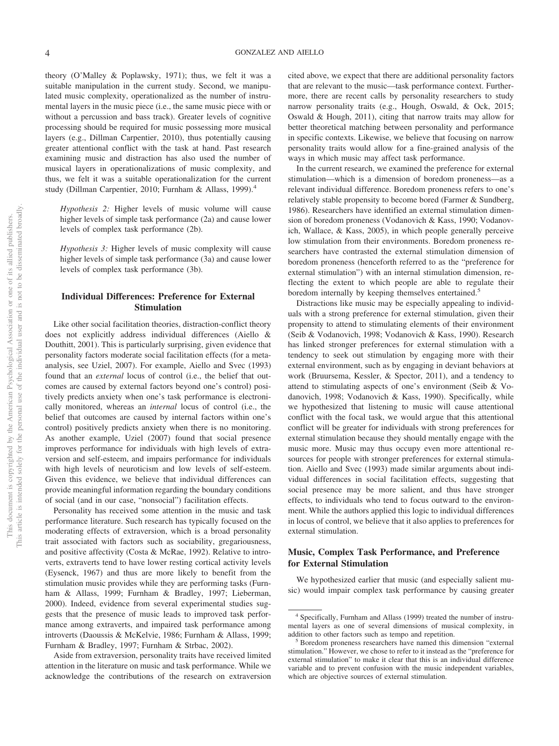theory [\(O'Malley & Poplawsky, 1971\)](#page-12-3); thus, we felt it was a suitable manipulation in the current study. Second, we manipulated music complexity, operationalized as the number of instrumental layers in the music piece (i.e., the same music piece with or without a percussion and bass track). Greater levels of cognitive processing should be required for music possessing more musical layers (e.g., Dillman Carpentier, 2010), thus potentially causing greater attentional conflict with the task at hand. Past research examining music and distraction has also used the number of musical layers in operationalizations of music complexity, and thus, we felt it was a suitable operationalization for the current study (Dillman Carpentier, 2010; Furnham & Allass, 1999).<sup>4</sup>

*Hypothesis 2:* Higher levels of music volume will cause higher levels of simple task performance (2a) and cause lower levels of complex task performance (2b).

*Hypothesis 3:* Higher levels of music complexity will cause higher levels of simple task performance (3a) and cause lower levels of complex task performance (3b).

#### **Individual Differences: Preference for External Stimulation**

Like other social facilitation theories, distraction-conflict theory does not explicitly address individual differences (Aiello & Douthitt, 2001). This is particularly surprising, given evidence that personality factors moderate social facilitation effects (for a metaanalysis, see Uziel, 2007). For example, Aiello and Svec (1993) found that an *external* locus of control (i.e., the belief that outcomes are caused by external factors beyond one's control) positively predicts anxiety when one's task performance is electronically monitored, whereas an *internal* locus of control (i.e., the belief that outcomes are caused by internal factors within one's control) positively predicts anxiety when there is no monitoring. As another example, Uziel (2007) found that social presence improves performance for individuals with high levels of extraversion and self-esteem, and impairs performance for individuals with high levels of neuroticism and low levels of self-esteem. Given this evidence, we believe that individual differences can provide meaningful information regarding the boundary conditions of social (and in our case, "nonsocial") facilitation effects.

Personality has received some attention in the music and task performance literature. Such research has typically focused on the moderating effects of extraversion, which is a broad personality trait associated with factors such as sociability, gregariousness, and positive affectivity (Costa & McRae, 1992). Relative to introverts, extraverts tend to have lower resting cortical activity levels (Eysenck, 1967) and thus are more likely to benefit from the stimulation music provides while they are performing tasks (Furnham & Allass, 1999; Furnham & Bradley, 1997; Lieberman, 2000). Indeed, evidence from several experimental studies suggests that the presence of music leads to improved task performance among extraverts, and impaired task performance among introverts (Daoussis & McKelvie, 1986; Furnham & Allass, 1999; Furnham & Bradley, 1997; Furnham & Strbac, 2002).

Aside from extraversion, personality traits have received limited attention in the literature on music and task performance. While we acknowledge the contributions of the research on extraversion cited above, we expect that there are additional personality factors that are relevant to the music—task performance context. Furthermore, there are recent calls by personality researchers to study narrow personality traits (e.g., Hough, Oswald, & Ock, 2015; [Oswald & Hough, 2011\)](#page-12-4), citing that narrow traits may allow for better theoretical matching between personality and performance in specific contexts. Likewise, we believe that focusing on narrow personality traits would allow for a fine-grained analysis of the ways in which music may affect task performance.

In the current research, we examined the preference for external stimulation—which is a dimension of boredom proneness—as a relevant individual difference. Boredom proneness refers to one's relatively stable propensity to become bored (Farmer & Sundberg, 1986). Researchers have identified an external stimulation dimension of boredom proneness (Vodanovich & Kass, 1990; Vodanovich, Wallace, & Kass, 2005), in which people generally perceive low stimulation from their environments. Boredom proneness researchers have contrasted the external stimulation dimension of boredom proneness (henceforth referred to as the "preference for external stimulation") with an internal stimulation dimension, reflecting the extent to which people are able to regulate their boredom internally by keeping themselves entertained.<sup>5</sup>

Distractions like music may be especially appealing to individuals with a strong preference for external stimulation, given their propensity to attend to stimulating elements of their environment (Seib & Vodanovich, 1998; Vodanovich & Kass, 1990). Research has linked stronger preferences for external stimulation with a tendency to seek out stimulation by engaging more with their external environment, such as by engaging in deviant behaviors at work (Bruursema, Kessler, & Spector, 2011), and a tendency to attend to stimulating aspects of one's environment (Seib & Vodanovich, 1998; Vodanovich & Kass, 1990). Specifically, while we hypothesized that listening to music will cause attentional conflict with the focal task, we would argue that this attentional conflict will be greater for individuals with strong preferences for external stimulation because they should mentally engage with the music more. Music may thus occupy even more attentional resources for people with stronger preferences for external stimulation. Aiello and Svec (1993) made similar arguments about individual differences in social facilitation effects, suggesting that social presence may be more salient, and thus have stronger effects, to individuals who tend to focus outward to the environment. While the authors applied this logic to individual differences in locus of control, we believe that it also applies to preferences for external stimulation.

#### **Music, Complex Task Performance, and Preference for External Stimulation**

We hypothesized earlier that music (and especially salient music) would impair complex task performance by causing greater

<sup>4</sup> Specifically, Furnham and Allass (1999) treated the number of instrumental layers as one of several dimensions of musical complexity, in addition to other factors such as tempo and repetition.<br><sup>5</sup> Boredom proneness researchers have named this dimension "external"

stimulation." However, we chose to refer to it instead as the "preference for external stimulation" to make it clear that this is an individual difference variable and to prevent confusion with the music independent variables, which are objective sources of external stimulation.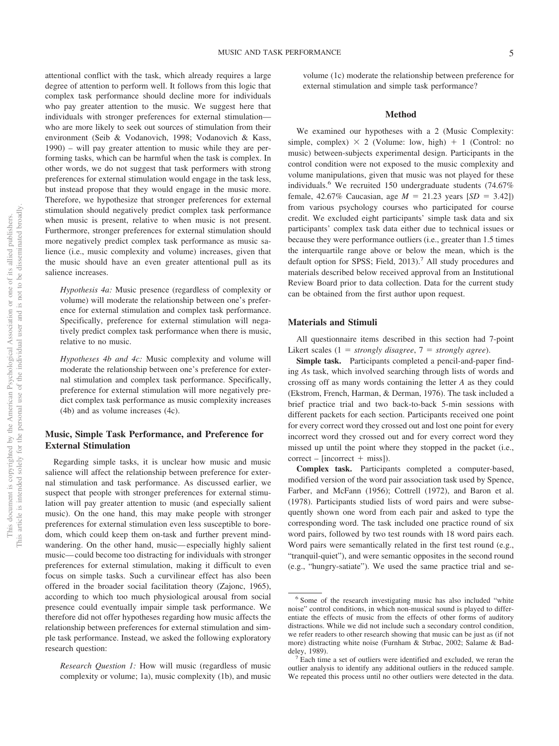attentional conflict with the task, which already requires a large degree of attention to perform well. It follows from this logic that complex task performance should decline more for individuals who pay greater attention to the music. We suggest here that individuals with stronger preferences for external stimulation who are more likely to seek out sources of stimulation from their environment (Seib & Vodanovich, 1998; Vodanovich & Kass, 1990) – will pay greater attention to music while they are performing tasks, which can be harmful when the task is complex. In other words, we do not suggest that task performers with strong preferences for external stimulation would engage in the task less, but instead propose that they would engage in the music more. Therefore, we hypothesize that stronger preferences for external stimulation should negatively predict complex task performance when music is present, relative to when music is not present. Furthermore, stronger preferences for external stimulation should more negatively predict complex task performance as music salience (i.e., music complexity and volume) increases, given that the music should have an even greater attentional pull as its salience increases.

*Hypothesis 4a:* Music presence (regardless of complexity or volume) will moderate the relationship between one's preference for external stimulation and complex task performance. Specifically, preference for external stimulation will negatively predict complex task performance when there is music, relative to no music.

*Hypotheses 4b and 4c:* Music complexity and volume will moderate the relationship between one's preference for external stimulation and complex task performance. Specifically, preference for external stimulation will more negatively predict complex task performance as music complexity increases (4b) and as volume increases (4c).

#### **Music, Simple Task Performance, and Preference for External Stimulation**

Regarding simple tasks, it is unclear how music and music salience will affect the relationship between preference for external stimulation and task performance. As discussed earlier, we suspect that people with stronger preferences for external stimulation will pay greater attention to music (and especially salient music). On the one hand, this may make people with stronger preferences for external stimulation even less susceptible to boredom, which could keep them on-task and further prevent mindwandering. On the other hand, music— especially highly salient music— could become too distracting for individuals with stronger preferences for external stimulation, making it difficult to even focus on simple tasks. Such a curvilinear effect has also been offered in the broader social facilitation theory (Zajonc, 1965), according to which too much physiological arousal from social presence could eventually impair simple task performance. We therefore did not offer hypotheses regarding how music affects the relationship between preferences for external stimulation and simple task performance. Instead, we asked the following exploratory research question:

*Research Question 1:* How will music (regardless of music complexity or volume; 1a), music complexity (1b), and music volume (1c) moderate the relationship between preference for external stimulation and simple task performance?

#### **Method**

We examined our hypotheses with a 2 (Music Complexity: simple, complex)  $\times$  2 (Volume: low, high) + 1 (Control: no music) between-subjects experimental design. Participants in the control condition were not exposed to the music complexity and volume manipulations, given that music was not played for these individuals.<sup>6</sup> We recruited 150 undergraduate students (74.67%) female, 42.67% Caucasian, age  $M = 21.23$  years  $[SD = 3.42]$ ) from various psychology courses who participated for course credit. We excluded eight participants' simple task data and six participants' complex task data either due to technical issues or because they were performance outliers (i.e., greater than 1.5 times the interquartile range above or below the mean, which is the default option for SPSS; Field, 2013).<sup>7</sup> All study procedures and materials described below received approval from an Institutional Review Board prior to data collection. Data for the current study can be obtained from the first author upon request.

#### **Materials and Stimuli**

All questionnaire items described in this section had 7-point Likert scales  $(1 = strongly disagree, 7 = strongly agree)$ .

**Simple task.** Participants completed a pencil-and-paper finding *A*s task, which involved searching through lists of words and crossing off as many words containing the letter *A* as they could (Ekstrom, French, Harman, & Derman, 1976). The task included a brief practice trial and two back-to-back 5-min sessions with different packets for each section. Participants received one point for every correct word they crossed out and lost one point for every incorrect word they crossed out and for every correct word they missed up until the point where they stopped in the packet (i.e.,  $correct - [incorrect + miss].$ 

**Complex task.** Participants completed a computer-based, modified version of the word pair association task used by Spence, Farber, and McFann (1956); Cottrell (1972), and Baron et al. (1978). Participants studied lists of word pairs and were subsequently shown one word from each pair and asked to type the corresponding word. The task included one practice round of six word pairs, followed by two test rounds with 18 word pairs each. Word pairs were semantically related in the first test round (e.g., "tranquil-quiet"), and were semantic opposites in the second round (e.g., "hungry-satiate"). We used the same practice trial and se-

<sup>6</sup> Some of the research investigating music has also included "white noise" control conditions, in which non-musical sound is played to differentiate the effects of music from the effects of other forms of auditory distractions. While we did not include such a secondary control condition, we refer readers to other research showing that music can be just as (if not more) distracting white noise (Furnham & Strbac, 2002; Salame & Baddeley, 1989). <sup>7</sup> Each time a set of outliers were identified and excluded, we reran the

outlier analysis to identify any additional outliers in the reduced sample. We repeated this process until no other outliers were detected in the data.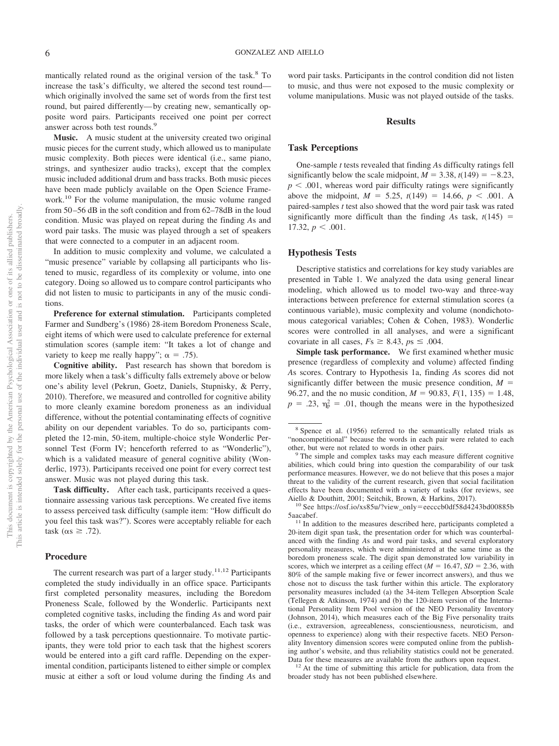mantically related round as the original version of the task.8 To increase the task's difficulty, we altered the second test round which originally involved the same set of words from the first test round, but paired differently— by creating new, semantically opposite word pairs. Participants received one point per correct answer across both test rounds.9

**Music.** A music student at the university created two original music pieces for the current study, which allowed us to manipulate music complexity. Both pieces were identical (i.e., same piano, strings, and synthesizer audio tracks), except that the complex music included additional drum and bass tracks. Both music pieces have been made publicly available on the Open Science Framework.10 For the volume manipulation, the music volume ranged from 50 –56 dB in the soft condition and from 62–78dB in the loud condition. Music was played on repeat during the finding *A*s and word pair tasks. The music was played through a set of speakers that were connected to a computer in an adjacent room.

In addition to music complexity and volume, we calculated a "music presence" variable by collapsing all participants who listened to music, regardless of its complexity or volume, into one category. Doing so allowed us to compare control participants who did not listen to music to participants in any of the music conditions.

**Preference for external stimulation.** Participants completed Farmer and Sundberg's (1986) 28-item Boredom Proneness Scale, eight items of which were used to calculate preference for external stimulation scores (sample item: "It takes a lot of change and variety to keep me really happy";  $\alpha = .75$ ).

**Cognitive ability.** Past research has shown that boredom is more likely when a task's difficulty falls extremely above or below one's ability level (Pekrun, Goetz, Daniels, Stupnisky, & Perry, 2010). Therefore, we measured and controlled for cognitive ability to more cleanly examine boredom proneness as an individual difference, without the potential contaminating effects of cognitive ability on our dependent variables. To do so, participants completed the 12-min, 50-item, multiple-choice style Wonderlic Personnel Test (Form IV; henceforth referred to as "Wonderlic"), which is a validated measure of general cognitive ability (Wonderlic, 1973). Participants received one point for every correct test answer. Music was not played during this task.

**Task difficulty.** After each task, participants received a questionnaire assessing various task perceptions. We created five items to assess perceived task difficulty (sample item: "How difficult do you feel this task was?"). Scores were acceptably reliable for each  $task (\alpha s \geq .72).$ 

#### **Procedure**

word pair tasks. Participants in the control condition did not listen to music, and thus were not exposed to the music complexity or volume manipulations. Music was not played outside of the tasks.

#### **Results**

#### **Task Perceptions**

One-sample *t* tests revealed that finding *A*s difficulty ratings fell significantly below the scale midpoint,  $M = 3.38$ ,  $t(149) = -8.23$ ,  $p < .001$ , whereas word pair difficulty ratings were significantly above the midpoint,  $M = 5.25$ ,  $t(149) = 14.66$ ,  $p < .001$ . A paired-samples *t* test also showed that the word pair task was rated significantly more difficult than the finding As task,  $t(145)$  = 17.32,  $p < .001$ .

#### **Hypothesis Tests**

Descriptive statistics and correlations for key study variables are presented in [Table 1.](#page-7-0) We analyzed the data using general linear modeling, which allowed us to model two-way and three-way interactions between preference for external stimulation scores (a continuous variable), music complexity and volume (nondichotomous categorical variables; Cohen & Cohen, 1983). Wonderlic scores were controlled in all analyses, and were a significant covariate in all cases,  $Fs \geq 8.43$ ,  $ps \leq .004$ .

**Simple task performance.** We first examined whether music presence (regardless of complexity and volume) affected finding *A*s scores. Contrary to Hypothesis 1a, finding *A*s scores did not significantly differ between the music presence condition,  $M =$ 96.27, and the no music condition,  $M = 90.83$ ,  $F(1, 135) = 1.48$ ,  $p = .23$ ,  $\eta_p^2 = .01$ , though the means were in the hypothesized

Aiello & Douthitt, 2001; Seitchik, Brown, & Harkins, 2017).<br><sup>10</sup> See [https://osf.io/xs85u/?view\\_only](https://osf.io/xs85u/?view_only=eecccb0df58d4243bd00885b5aacabef)=eecccb0df58d4243bd00885b<br>5aacabef.

 $11$  In addition to the measures described here, participants completed a 20-item digit span task, the presentation order for which was counterbalanced with the finding *A*s and word pair tasks, and several exploratory personality measures, which were administered at the same time as the boredom proneness scale. The digit span demonstrated low variability in scores, which we interpret as a ceiling effect  $(M = 16.47, SD = 2.36, with$ 80% of the sample making five or fewer incorrect answers), and thus we chose not to discuss the task further within this article. The exploratory personality measures included (a) the 34-item Tellegen Absorption Scale (Tellegen & Atkinson, 1974) and (b) the 120-item version of the International Personality Item Pool version of the NEO Personality Inventory (Johnson, 2014), which measures each of the Big Five personality traits (i.e., extraversion, agreeableness, conscientiousness, neuroticism, and openness to experience) along with their respective facets. NEO Personality Inventory dimension scores were computed online from the publishing author's website, and thus reliability statistics could not be generated.

Data for these measures are available from the authors upon request.  $12$  At the time of submitting this article for publication, data from the broader study has not been published elsewhere.

The current research was part of a larger study.<sup>11,12</sup> Participants completed the study individually in an office space. Participants first completed personality measures, including the Boredom Proneness Scale, followed by the Wonderlic. Participants next completed cognitive tasks, including the finding *A*s and word pair tasks, the order of which were counterbalanced. Each task was followed by a task perceptions questionnaire. To motivate participants, they were told prior to each task that the highest scorers would be entered into a gift card raffle. Depending on the experimental condition, participants listened to either simple or complex music at either a soft or loud volume during the finding *A*s and

<sup>8</sup> Spence et al. (1956) referred to the semantically related trials as "noncompetitional" because the words in each pair were related to each other, but were not related to words in other pairs. <sup>9</sup> The simple and complex tasks may each measure different cognitive

abilities, which could bring into question the comparability of our task performance measures. However, we do not believe that this poses a major threat to the validity of the current research, given that social facilitation effects have been documented with a variety of tasks (for reviews, see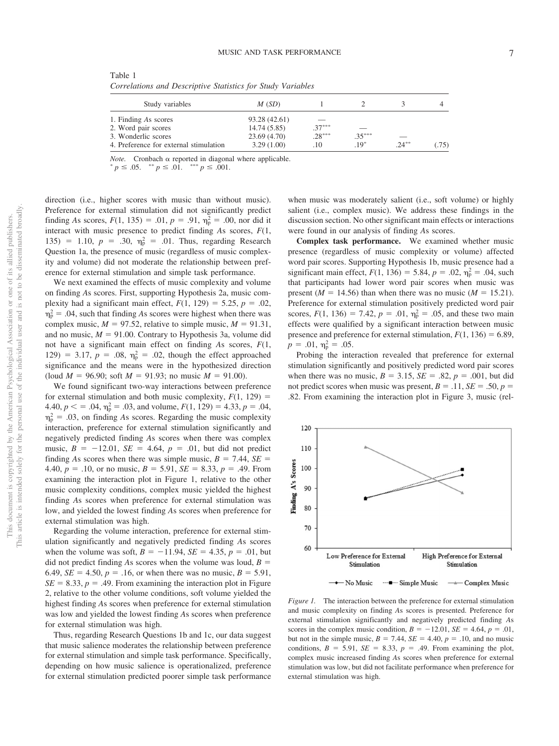<span id="page-7-0"></span>Table 1 *Correlations and Descriptive Statistics for Study Variables*

| Study variables                        | M(SD)         |          |          |          |      |
|----------------------------------------|---------------|----------|----------|----------|------|
| 1. Finding As scores                   | 93.28 (42.61) |          |          |          |      |
| 2. Word pair scores                    | 14.74(5.85)   | $37***$  |          |          |      |
| 3. Wonderlic scores                    | 23.69(4.70)   | $.28***$ | $.35***$ |          |      |
| 4. Preference for external stimulation | 3.29(1.00)    | .10      | $.19*$   | $.24***$ | (75) |

 $Note.$  Cronbach  $\alpha$  reported in diagonal where applicable.

 $p \leq .05.$   $\longrightarrow^{*} p \leq .01.$   $\longrightarrow^{*} p \leq .001.$ 

direction (i.e., higher scores with music than without music). Preference for external stimulation did not significantly predict finding *As* scores,  $F(1, 135) = .01$ ,  $p = .91$ ,  $\eta_p^2 = .00$ , nor did it interact with music presence to predict finding *A*s scores, *F*(1, 135) = 1.10,  $p = .30$ ,  $\eta_p^2 = .01$ . Thus, regarding Research Question 1a, the presence of music (regardless of music complexity and volume) did not moderate the relationship between preference for external stimulation and simple task performance.

We next examined the effects of music complexity and volume on finding *A*s scores. First, supporting Hypothesis 2a, music complexity had a significant main effect,  $F(1, 129) = 5.25$ ,  $p = .02$ ,  $\eta_{\rm p}^2$  = .04, such that finding *As* scores were highest when there was complex music,  $M = 97.52$ , relative to simple music,  $M = 91.31$ , and no music,  $M = 91.00$ . Contrary to Hypothesis 3a, volume did not have a significant main effect on finding *A*s scores, *F*(1, 129) = 3.17,  $p = .08$ ,  $\eta_p^2 = .02$ , though the effect approached significance and the means were in the hypothesized direction  $($ loud *M* = 96.90; soft *M* = 91.93; no music *M* = 91.00).

We found significant two-way interactions between preference for external stimulation and both music complexity,  $F(1, 129)$  =  $4.40, p \leq 0.04, \eta_p^2 = 0.03$ , and volume,  $F(1, 129) = 4.33, p = 0.04$ ,  $\eta_{\rm p}^2$  = .03, on finding As scores. Regarding the music complexity interaction, preference for external stimulation significantly and negatively predicted finding *A*s scores when there was complex music,  $B = -12.01$ ,  $SE = 4.64$ ,  $p = .01$ , but did not predict finding As scores when there was simple music,  $B = 7.44$ ,  $SE =$ 4.40,  $p = .10$ , or no music,  $B = 5.91$ ,  $SE = 8.33$ ,  $p = .49$ . From examining the interaction plot in [Figure 1,](#page-7-1) relative to the other music complexity conditions, complex music yielded the highest finding *A*s scores when preference for external stimulation was low, and yielded the lowest finding *A*s scores when preference for external stimulation was high.

Regarding the volume interaction, preference for external stimulation significantly and negatively predicted finding *A*s scores when the volume was soft,  $B = -11.94$ ,  $SE = 4.35$ ,  $p = .01$ , but did not predict finding As scores when the volume was loud,  $B =$ 6.49, *SE* = 4.50,  $p = .16$ , or when there was no music,  $B = 5.91$ ,  $SE = 8.33$ ,  $p = .49$ . From examining the interaction plot in Figure 2, relative to the other volume conditions, soft volume yielded the highest finding *A*s scores when preference for external stimulation was low and yielded the lowest finding *A*s scores when preference for external stimulation was high.

Thus, regarding Research Questions 1b and 1c, our data suggest that music salience moderates the relationship between preference for external stimulation and simple task performance. Specifically, depending on how music salience is operationalized, preference for external stimulation predicted poorer simple task performance when music was moderately salient (i.e., soft volume) or highly salient (i.e., complex music). We address these findings in the discussion section. No other significant main effects or interactions were found in our analysis of finding *A*s scores.

**Complex task performance.** We examined whether music presence (regardless of music complexity or volume) affected word pair scores. Supporting Hypothesis 1b, music presence had a significant main effect,  $F(1, 136) = 5.84$ ,  $p = .02$ ,  $\eta_p^2 = .04$ , such that participants had lower word pair scores when music was present ( $M = 14.56$ ) than when there was no music ( $M = 15.21$ ). Preference for external stimulation positively predicted word pair scores,  $F(1, 136) = 7.42$ ,  $p = .01$ ,  $\eta_p^2 = .05$ , and these two main effects were qualified by a significant interaction between music presence and preference for external stimulation,  $F(1, 136) = 6.89$ ,  $p = .01, \eta_{\rm p}^2 = .05.$ 

Probing the interaction revealed that preference for external stimulation significantly and positively predicted word pair scores when there was no music,  $B = 3.15$ ,  $SE = .82$ ,  $p = .001$ , but did not predict scores when music was present,  $B = .11$ ,  $SE = .50$ ,  $p =$ .82. From examining the interaction plot in [Figure 3,](#page-8-0) music (rel-



<span id="page-7-1"></span>*Figure 1.* The interaction between the preference for external stimulation and music complexity on finding *A*s scores is presented. Preference for external stimulation significantly and negatively predicted finding *A*s scores in the complex music condition,  $B = -12.01$ ,  $SE = 4.64$ ,  $p = .01$ , but not in the simple music,  $B = 7.44$ ,  $SE = 4.40$ ,  $p = .10$ , and no music conditions,  $B = 5.91$ ,  $SE = 8.33$ ,  $p = .49$ . From examining the plot, complex music increased finding *A*s scores when preference for external stimulation was low, but did not facilitate performance when preference for external stimulation was high.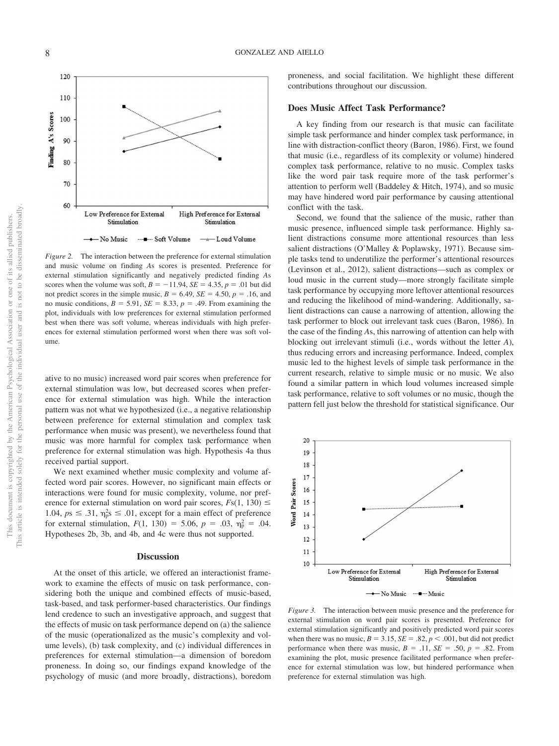

*Figure 2.* The interaction between the preference for external stimulation and music volume on finding *A*s scores is presented. Preference for external stimulation significantly and negatively predicted finding *A*s scores when the volume was soft,  $B = -11.94$ ,  $SE = 4.35$ ,  $p = .01$  but did not predict scores in the simple music,  $B = 6.49$ ,  $SE = 4.50$ ,  $p = .16$ , and no music conditions,  $B = 5.91$ ,  $SE = 8.33$ ,  $p = .49$ . From examining the plot, individuals with low preferences for external stimulation performed best when there was soft volume, whereas individuals with high preferences for external stimulation performed worst when there was soft volume.

ative to no music) increased word pair scores when preference for external stimulation was low, but decreased scores when preference for external stimulation was high. While the interaction pattern was not what we hypothesized (i.e., a negative relationship between preference for external stimulation and complex task performance when music was present), we nevertheless found that music was more harmful for complex task performance when preference for external stimulation was high. Hypothesis 4a thus received partial support.

We next examined whether music complexity and volume affected word pair scores. However, no significant main effects or interactions were found for music complexity, volume, nor preference for external stimulation on word pair scores,  $Fs(1, 130) \leq$ 1.04,  $ps \leq .31$ ,  $\eta_{\rm p}^2$ s  $\leq .01$ , except for a main effect of preference for external stimulation,  $F(1, 130) = 5.06$ ,  $p = .03$ ,  $\eta_p^2 = .04$ . Hypotheses 2b, 3b, and 4b, and 4c were thus not supported.

#### **Discussion**

At the onset of this article, we offered an interactionist framework to examine the effects of music on task performance, considering both the unique and combined effects of music-based, task-based, and task performer-based characteristics. Our findings lend credence to such an investigative approach, and suggest that the effects of music on task performance depend on (a) the salience of the music (operationalized as the music's complexity and volume levels), (b) task complexity, and (c) individual differences in preferences for external stimulation—a dimension of boredom proneness. In doing so, our findings expand knowledge of the psychology of music (and more broadly, distractions), boredom proneness, and social facilitation. We highlight these different contributions throughout our discussion.

#### **Does Music Affect Task Performance?**

A key finding from our research is that music can facilitate simple task performance and hinder complex task performance, in line with distraction-conflict theory [\(Baron, 1986\)](#page-11-0). First, we found that music (i.e., regardless of its complexity or volume) hindered complex task performance, relative to no music. Complex tasks like the word pair task require more of the task performer's attention to perform well [\(Baddeley & Hitch, 1974\)](#page-11-1), and so music may have hindered word pair performance by causing attentional conflict with the task.

Second, we found that the salience of the music, rather than music presence, influenced simple task performance. Highly salient distractions consume more attentional resources than less salient distractions [\(O'Malley & Poplawsky, 1971\)](#page-12-3). Because simple tasks tend to underutilize the performer's attentional resources [\(Levinson et al., 2012\)](#page-12-2), salient distractions—such as complex or loud music in the current study—more strongly facilitate simple task performance by occupying more leftover attentional resources and reducing the likelihood of mind-wandering. Additionally, salient distractions can cause a narrowing of attention, allowing the task performer to block out irrelevant task cues [\(Baron, 1986\)](#page-11-0). In the case of the finding *A*s, this narrowing of attention can help with blocking out irrelevant stimuli (i.e., words without the letter *A*), thus reducing errors and increasing performance. Indeed, complex music led to the highest levels of simple task performance in the current research, relative to simple music or no music. We also found a similar pattern in which loud volumes increased simple task performance, relative to soft volumes or no music, though the pattern fell just below the threshold for statistical significance. Our



<span id="page-8-0"></span>*Figure 3.* The interaction between music presence and the preference for external stimulation on word pair scores is presented. Preference for external stimulation significantly and positively predicted word pair scores when there was no music,  $B = 3.15$ ,  $SE = .82$ ,  $p < .001$ , but did not predict performance when there was music,  $B = .11$ ,  $SE = .50$ ,  $p = .82$ . From examining the plot, music presence facilitated performance when preference for external stimulation was low, but hindered performance when preference for external stimulation was high.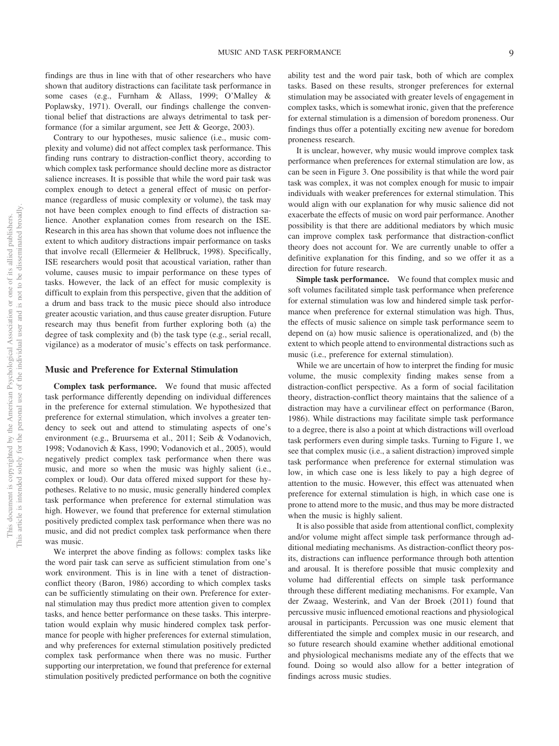findings are thus in line with that of other researchers who have shown that auditory distractions can facilitate task performance in some cases (e.g., Furnham & Allass, 1999; [O'Malley &](#page-12-3) [Poplawsky, 1971\)](#page-12-3). Overall, our findings challenge the conventional belief that distractions are always detrimental to task performance (for a similar argument, see Jett & George, 2003).

Contrary to our hypotheses, music salience (i.e., music complexity and volume) did not affect complex task performance. This finding runs contrary to distraction-conflict theory, according to which complex task performance should decline more as distractor salience increases. It is possible that while the word pair task was complex enough to detect a general effect of music on performance (regardless of music complexity or volume), the task may not have been complex enough to find effects of distraction salience. Another explanation comes from research on the ISE. Research in this area has shown that volume does not influence the extent to which auditory distractions impair performance on tasks that involve recall (Ellermeier & Hellbruck, 1998). Specifically, ISE researchers would posit that acoustical variation, rather than volume, causes music to impair performance on these types of tasks. However, the lack of an effect for music complexity is difficult to explain from this perspective, given that the addition of a drum and bass track to the music piece should also introduce greater acoustic variation, and thus cause greater disruption. Future research may thus benefit from further exploring both (a) the degree of task complexity and (b) the task type (e.g., serial recall, vigilance) as a moderator of music's effects on task performance.

#### **Music and Preference for External Stimulation**

**Complex task performance.** We found that music affected task performance differently depending on individual differences in the preference for external stimulation. We hypothesized that preference for external stimulation, which involves a greater tendency to seek out and attend to stimulating aspects of one's environment (e.g., Bruursema et al., 2011; Seib & Vodanovich, 1998; Vodanovich & Kass, 1990; Vodanovich et al., 2005), would negatively predict complex task performance when there was music, and more so when the music was highly salient (i.e., complex or loud). Our data offered mixed support for these hypotheses. Relative to no music, music generally hindered complex task performance when preference for external stimulation was high. However, we found that preference for external stimulation positively predicted complex task performance when there was no music, and did not predict complex task performance when there was music.

We interpret the above finding as follows: complex tasks like the word pair task can serve as sufficient stimulation from one's work environment. This is in line with a tenet of distractionconflict theory [\(Baron, 1986\)](#page-11-0) according to which complex tasks can be sufficiently stimulating on their own. Preference for external stimulation may thus predict more attention given to complex tasks, and hence better performance on these tasks. This interpretation would explain why music hindered complex task performance for people with higher preferences for external stimulation, and why preferences for external stimulation positively predicted complex task performance when there was no music. Further supporting our interpretation, we found that preference for external stimulation positively predicted performance on both the cognitive

ability test and the word pair task, both of which are complex tasks. Based on these results, stronger preferences for external stimulation may be associated with greater levels of engagement in complex tasks, which is somewhat ironic, given that the preference for external stimulation is a dimension of boredom proneness. Our findings thus offer a potentially exciting new avenue for boredom proneness research.

It is unclear, however, why music would improve complex task performance when preferences for external stimulation are low, as can be seen in [Figure 3.](#page-8-0) One possibility is that while the word pair task was complex, it was not complex enough for music to impair individuals with weaker preferences for external stimulation. This would align with our explanation for why music salience did not exacerbate the effects of music on word pair performance. Another possibility is that there are additional mediators by which music can improve complex task performance that distraction-conflict theory does not account for. We are currently unable to offer a definitive explanation for this finding, and so we offer it as a direction for future research.

**Simple task performance.** We found that complex music and soft volumes facilitated simple task performance when preference for external stimulation was low and hindered simple task performance when preference for external stimulation was high. Thus, the effects of music salience on simple task performance seem to depend on (a) how music salience is operationalized, and (b) the extent to which people attend to environmental distractions such as music (i.e., preference for external stimulation).

While we are uncertain of how to interpret the finding for music volume, the music complexity finding makes sense from a distraction-conflict perspective. As a form of social facilitation theory, distraction-conflict theory maintains that the salience of a distraction may have a curvilinear effect on performance [\(Baron,](#page-11-0) [1986\)](#page-11-0). While distractions may facilitate simple task performance to a degree, there is also a point at which distractions will overload task performers even during simple tasks. Turning to [Figure 1,](#page-7-1) we see that complex music (i.e., a salient distraction) improved simple task performance when preference for external stimulation was low, in which case one is less likely to pay a high degree of attention to the music. However, this effect was attenuated when preference for external stimulation is high, in which case one is prone to attend more to the music, and thus may be more distracted when the music is highly salient.

It is also possible that aside from attentional conflict, complexity and/or volume might affect simple task performance through additional mediating mechanisms. As distraction-conflict theory posits, distractions can influence performance through both attention and arousal. It is therefore possible that music complexity and volume had differential effects on simple task performance through these different mediating mechanisms. For example, Van der Zwaag, Westerink, and Van der Broek (2011) found that percussive music influenced emotional reactions and physiological arousal in participants. Percussion was one music element that differentiated the simple and complex music in our research, and so future research should examine whether additional emotional and physiological mechanisms mediate any of the effects that we found. Doing so would also allow for a better integration of findings across music studies.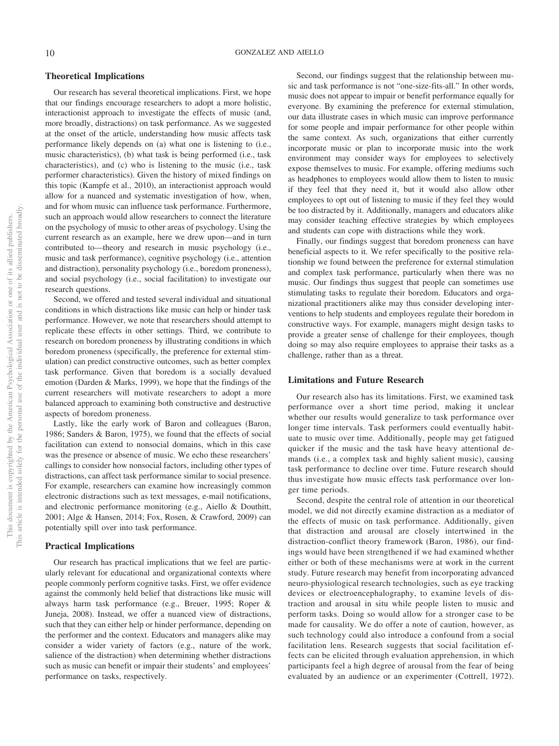#### **Theoretical Implications**

Our research has several theoretical implications. First, we hope that our findings encourage researchers to adopt a more holistic, interactionist approach to investigate the effects of music (and, more broadly, distractions) on task performance. As we suggested at the onset of the article, understanding how music affects task performance likely depends on (a) what one is listening to (i.e., music characteristics), (b) what task is being performed (i.e., task characteristics), and (c) who is listening to the music (i.e., task performer characteristics). Given the history of mixed findings on this topic [\(Kampfe et al., 2010\)](#page-12-0), an interactionist approach would allow for a nuanced and systematic investigation of how, when, and for whom music can influence task performance. Furthermore, such an approach would allow researchers to connect the literature on the psychology of music to other areas of psychology. Using the current research as an example, here we drew upon—and in turn contributed to—theory and research in music psychology (i.e., music and task performance), cognitive psychology (i.e., attention and distraction), personality psychology (i.e., boredom proneness), and social psychology (i.e., social facilitation) to investigate our research questions.

Second, we offered and tested several individual and situational conditions in which distractions like music can help or hinder task performance. However, we note that researchers should attempt to replicate these effects in other settings. Third, we contribute to research on boredom proneness by illustrating conditions in which boredom proneness (specifically, the preference for external stimulation) can predict constructive outcomes, such as better complex task performance. Given that boredom is a socially devalued emotion (Darden & Marks, 1999), we hope that the findings of the current researchers will motivate researchers to adopt a more balanced approach to examining both constructive and destructive aspects of boredom proneness.

Lastly, like the early work of Baron and colleagues [\(Baron,](#page-11-0) [1986;](#page-11-0) Sanders & Baron, 1975), we found that the effects of social facilitation can extend to nonsocial domains, which in this case was the presence or absence of music. We echo these researchers' callings to consider how nonsocial factors, including other types of distractions, can affect task performance similar to social presence. For example, researchers can examine how increasingly common electronic distractions such as text messages, e-mail notifications, and electronic performance monitoring (e.g., Aiello & Douthitt, 2001; [Alge & Hansen, 2014;](#page-11-2) Fox, Rosen, & Crawford, 2009) can potentially spill over into task performance.

#### **Practical Implications**

Our research has practical implications that we feel are particularly relevant for educational and organizational contexts where people commonly perform cognitive tasks. First, we offer evidence against the commonly held belief that distractions like music will always harm task performance (e.g., Breuer, 1995; Roper & Juneja, 2008). Instead, we offer a nuanced view of distractions, such that they can either help or hinder performance, depending on the performer and the context. Educators and managers alike may consider a wider variety of factors (e.g., nature of the work, salience of the distraction) when determining whether distractions such as music can benefit or impair their students' and employees' performance on tasks, respectively.

Second, our findings suggest that the relationship between music and task performance is not "one-size-fits-all." In other words, music does not appear to impair or benefit performance equally for everyone. By examining the preference for external stimulation, our data illustrate cases in which music can improve performance for some people and impair performance for other people within the same context. As such, organizations that either currently incorporate music or plan to incorporate music into the work environment may consider ways for employees to selectively expose themselves to music. For example, offering mediums such as headphones to employees would allow them to listen to music if they feel that they need it, but it would also allow other employees to opt out of listening to music if they feel they would be too distracted by it. Additionally, managers and educators alike may consider teaching effective strategies by which employees and students can cope with distractions while they work.

Finally, our findings suggest that boredom proneness can have beneficial aspects to it. We refer specifically to the positive relationship we found between the preference for external stimulation and complex task performance, particularly when there was no music. Our findings thus suggest that people can sometimes use stimulating tasks to regulate their boredom. Educators and organizational practitioners alike may thus consider developing interventions to help students and employees regulate their boredom in constructive ways. For example, managers might design tasks to provide a greater sense of challenge for their employees, though doing so may also require employees to appraise their tasks as a challenge, rather than as a threat.

#### **Limitations and Future Research**

Our research also has its limitations. First, we examined task performance over a short time period, making it unclear whether our results would generalize to task performance over longer time intervals. Task performers could eventually habituate to music over time. Additionally, people may get fatigued quicker if the music and the task have heavy attentional demands (i.e., a complex task and highly salient music), causing task performance to decline over time. Future research should thus investigate how music effects task performance over longer time periods.

Second, despite the central role of attention in our theoretical model, we did not directly examine distraction as a mediator of the effects of music on task performance. Additionally, given that distraction and arousal are closely intertwined in the distraction-conflict theory framework [\(Baron, 1986\)](#page-11-0), our findings would have been strengthened if we had examined whether either or both of these mechanisms were at work in the current study. Future research may benefit from incorporating advanced neuro-physiological research technologies, such as eye tracking devices or electroencephalography, to examine levels of distraction and arousal in situ while people listen to music and perform tasks. Doing so would allow for a stronger case to be made for causality. We do offer a note of caution, however, as such technology could also introduce a confound from a social facilitation lens. Research suggests that social facilitation effects can be elicited through evaluation apprehension, in which participants feel a high degree of arousal from the fear of being evaluated by an audience or an experimenter (Cottrell, 1972).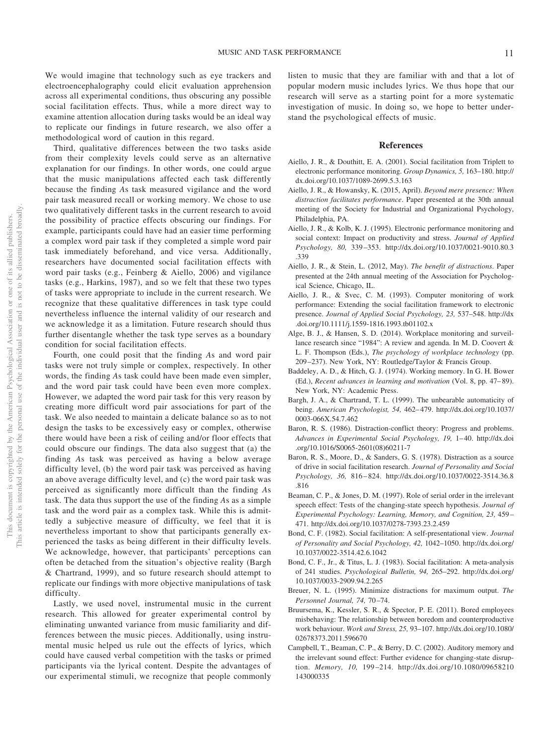We would imagine that technology such as eye trackers and electroencephalography could elicit evaluation apprehension across all experimental conditions, thus obscuring any possible social facilitation effects. Thus, while a more direct way to examine attention allocation during tasks would be an ideal way to replicate our findings in future research, we also offer a methodological word of caution in this regard.

Third, qualitative differences between the two tasks aside from their complexity levels could serve as an alternative explanation for our findings. In other words, one could argue that the music manipulations affected each task differently because the finding *A*s task measured vigilance and the word pair task measured recall or working memory. We chose to use two qualitatively different tasks in the current research to avoid the possibility of practice effects obscuring our findings. For example, participants could have had an easier time performing a complex word pair task if they completed a simple word pair task immediately beforehand, and vice versa. Additionally, researchers have documented social facilitation effects with word pair tasks (e.g., Feinberg & Aiello, 2006) and vigilance tasks (e.g., Harkins, 1987), and so we felt that these two types of tasks were appropriate to include in the current research. We recognize that these qualitative differences in task type could nevertheless influence the internal validity of our research and we acknowledge it as a limitation. Future research should thus further disentangle whether the task type serves as a boundary condition for social facilitation effects.

Fourth, one could posit that the finding *A*s and word pair tasks were not truly simple or complex, respectively. In other words, the finding *A*s task could have been made even simpler, and the word pair task could have been even more complex. However, we adapted the word pair task for this very reason by creating more difficult word pair associations for part of the task. We also needed to maintain a delicate balance so as to not design the tasks to be excessively easy or complex, otherwise there would have been a risk of ceiling and/or floor effects that could obscure our findings. The data also suggest that (a) the finding *A*s task was perceived as having a below average difficulty level, (b) the word pair task was perceived as having an above average difficulty level, and (c) the word pair task was perceived as significantly more difficult than the finding *A*s task. The data thus support the use of the finding *A*s as a simple task and the word pair as a complex task. While this is admittedly a subjective measure of difficulty, we feel that it is nevertheless important to show that participants generally experienced the tasks as being different in their difficulty levels. We acknowledge, however, that participants' perceptions can often be detached from the situation's objective reality [\(Bargh](#page-11-3) [& Chartrand, 1999\)](#page-11-3), and so future research should attempt to replicate our findings with more objective manipulations of task difficulty.

Lastly, we used novel, instrumental music in the current research. This allowed for greater experimental control by eliminating unwanted variance from music familiarity and differences between the music pieces. Additionally, using instrumental music helped us rule out the effects of lyrics, which could have caused verbal competition with the tasks or primed participants via the lyrical content. Despite the advantages of our experimental stimuli, we recognize that people commonly

listen to music that they are familiar with and that a lot of popular modern music includes lyrics. We thus hope that our research will serve as a starting point for a more systematic investigation of music. In doing so, we hope to better understand the psychological effects of music.

#### **References**

- Aiello, J. R., & Douthitt, E. A. (2001). Social facilitation from Triplett to electronic performance monitoring. *Group Dynamics, 5,* 163–180. [http://](http://dx.doi.org/10.1037/1089-2699.5.3.163) [dx.doi.org/10.1037/1089-2699.5.3.163](http://dx.doi.org/10.1037/1089-2699.5.3.163)
- Aiello, J. R., & Howansky, K. (2015, April). *Beyond mere presence: When distraction facilitates performance*. Paper presented at the 30th annual meeting of the Society for Industrial and Organizational Psychology, Philadelphia, PA.
- Aiello, J. R., & Kolb, K. J. (1995). Electronic performance monitoring and social context: Impact on productivity and stress. *Journal of Applied Psychology, 80,* 339 –353. [http://dx.doi.org/10.1037/0021-9010.80.3](http://dx.doi.org/10.1037/0021-9010.80.3.339) [.339](http://dx.doi.org/10.1037/0021-9010.80.3.339)
- Aiello, J. R., & Stein, L. (2012, May). *The benefit of distractions*. Paper presented at the 24th annual meeting of the Association for Psychological Science, Chicago, IL.
- Aiello, J. R., & Svec, C. M. (1993). Computer monitoring of work performance: Extending the social facilitation framework to electronic presence. *Journal of Applied Social Psychology, 23,* 537–548. [http://dx](http://dx.doi.org/10.1111/j.1559-1816.1993.tb01102.x) [.doi.org/10.1111/j.1559-1816.1993.tb01102.x](http://dx.doi.org/10.1111/j.1559-1816.1993.tb01102.x)
- <span id="page-11-2"></span>Alge, B. J., & Hansen, S. D. (2014). Workplace monitoring and surveillance research since "1984": A review and agenda. In M. D. Coovert & L. F. Thompson (Eds.), *The psychology of workplace technology* (pp. 209 –237). New York, NY: Routledge/Taylor & Francis Group.
- <span id="page-11-1"></span>Baddeley, A. D., & Hitch, G. J. (1974). Working memory. In G. H. Bower (Ed.), *Recent advances in learning and motivation* (Vol. 8, pp. 47– 89). New York, NY: Academic Press.
- <span id="page-11-3"></span>Bargh, J. A., & Chartrand, T. L. (1999). The unbearable automaticity of being. *American Psychologist, 54,* 462– 479. [http://dx.doi.org/10.1037/](http://dx.doi.org/10.1037/0003-066X.54.7.462) [0003-066X.54.7.462](http://dx.doi.org/10.1037/0003-066X.54.7.462)
- <span id="page-11-0"></span>Baron, R. S. (1986). Distraction-conflict theory: Progress and problems. *Advances in Experimental Social Psychology, 19,* 1– 40. [http://dx.doi](http://dx.doi.org/10.1016/S0065-2601%2808%2960211-7) [.org/10.1016/S0065-2601\(08\)60211-7](http://dx.doi.org/10.1016/S0065-2601%2808%2960211-7)
- Baron, R. S., Moore, D., & Sanders, G. S. (1978). Distraction as a source of drive in social facilitation research. *Journal of Personality and Social Psychology, 36,* 816 – 824. [http://dx.doi.org/10.1037/0022-3514.36.8](http://dx.doi.org/10.1037/0022-3514.36.8.816) [.816](http://dx.doi.org/10.1037/0022-3514.36.8.816)
- Beaman, C. P., & Jones, D. M. (1997). Role of serial order in the irrelevant speech effect: Tests of the changing-state speech hypothesis. *Journal of Experimental Psychology: Learning, Memory, and Cognition, 23,* 459 – 471.<http://dx.doi.org/10.1037/0278-7393.23.2.459>
- Bond, C. F. (1982). Social facilitation: A self-presentational view. *Journal of Personality and Social Psychology, 42,* 1042–1050. [http://dx.doi.org/](http://dx.doi.org/10.1037/0022-3514.42.6.1042) [10.1037/0022-3514.42.6.1042](http://dx.doi.org/10.1037/0022-3514.42.6.1042)
- Bond, C. F., Jr., & Titus, L. J. (1983). Social facilitation: A meta-analysis of 241 studies. *Psychological Bulletin, 94,* 265–292. [http://dx.doi.org/](http://dx.doi.org/10.1037/0033-2909.94.2.265) [10.1037/0033-2909.94.2.265](http://dx.doi.org/10.1037/0033-2909.94.2.265)
- Breuer, N. L. (1995). Minimize distractions for maximum output. *The Personnel Journal, 74,* 70 –74.
- Bruursema, K., Kessler, S. R., & Spector, P. E. (2011). Bored employees misbehaving: The relationship between boredom and counterproductive work behaviour. *Work and Stress, 25,* 93–107. [http://dx.doi.org/10.1080/](http://dx.doi.org/10.1080/02678373.2011.596670) [02678373.2011.596670](http://dx.doi.org/10.1080/02678373.2011.596670)
- Campbell, T., Beaman, C. P., & Berry, D. C. (2002). Auditory memory and the irrelevant sound effect: Further evidence for changing-state disruption. *Memory, 10,* 199 –214. [http://dx.doi.org/10.1080/09658210](http://dx.doi.org/10.1080/09658210143000335) [143000335](http://dx.doi.org/10.1080/09658210143000335)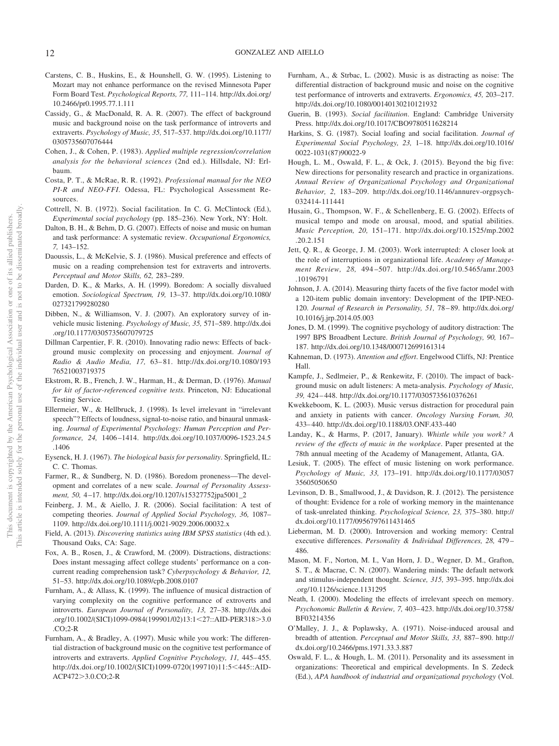- Carstens, C. B., Huskins, E., & Hounshell, G. W. (1995). Listening to Mozart may not enhance performance on the revised Minnesota Paper Form Board Test. *Psychological Reports, 77,* 111–114. [http://dx.doi.org/](http://dx.doi.org/10.2466/pr0.1995.77.1.111) [10.2466/pr0.1995.77.1.111](http://dx.doi.org/10.2466/pr0.1995.77.1.111)
- Cassidy, G., & MacDonald, R. A. R. (2007). The effect of background music and background noise on the task performance of introverts and extraverts. *Psychology of Music, 35,* 517–537. [http://dx.doi.org/10.1177/](http://dx.doi.org/10.1177/0305735607076444) [0305735607076444](http://dx.doi.org/10.1177/0305735607076444)
- Cohen, J., & Cohen, P. (1983). *Applied multiple regression/correlation analysis for the behavioral sciences* (2nd ed.). Hillsdale, NJ: Erlbaum.
- Costa, P. T., & McRae, R. R. (1992). *Professional manual for the NEO PI-R and NEO-FFI*. Odessa, FL: Psychological Assessment Resources.
- Cottrell, N. B. (1972). Social facilitation. In C. G. McClintock (Ed.), *Experimental social psychology* (pp. 185–236). New York, NY: Holt.
- Dalton, B. H., & Behm, D. G. (2007). Effects of noise and music on human and task performance: A systematic review. *Occupational Ergonomics, 7,* 143–152.
- Daoussis, L., & McKelvie, S. J. (1986). Musical preference and effects of music on a reading comprehension test for extraverts and introverts. *Perceptual and Motor Skills, 62,* 283–289.
- Darden, D. K., & Marks, A. H. (1999). Boredom: A socially disvalued emotion. *Sociological Spectrum, 19,* 13–37. [http://dx.doi.org/10.1080/](http://dx.doi.org/10.1080/027321799280280) [027321799280280](http://dx.doi.org/10.1080/027321799280280)
- Dibben, N., & Williamson, V. J. (2007). An exploratory survey of invehicle music listening. *Psychology of Music, 35,* 571–589. [http://dx.doi](http://dx.doi.org/10.1177/0305735607079725) [.org/10.1177/0305735607079725](http://dx.doi.org/10.1177/0305735607079725)
- Dillman Carpentier, F. R. (2010). Innovating radio news: Effects of background music complexity on processing and enjoyment. *Journal of Radio & Audio Media, 17,* 63– 81. [http://dx.doi.org/10.1080/193](http://dx.doi.org/10.1080/19376521003719375) [76521003719375](http://dx.doi.org/10.1080/19376521003719375)
- Ekstrom, R. B., French, J. W., Harman, H., & Derman, D. (1976). *Manual for kit of factor-referenced cognitive tests*. Princeton, NJ: Educational Testing Service.
- Ellermeier, W., & Hellbruck, J. (1998). Is level irrelevant in "irrelevant speech"? Effects of loudness, signal-to-noise ratio, and binaural unmasking. *Journal of Experimental Psychology: Human Perception and Performance, 24,* 1406 –1414. [http://dx.doi.org/10.1037/0096-1523.24.5](http://dx.doi.org/10.1037/0096-1523.24.5.1406) [.1406](http://dx.doi.org/10.1037/0096-1523.24.5.1406)
- Eysenck, H. J. (1967). *The biological basis for personality*. Springfield, IL: C. C. Thomas.
- Farmer, R., & Sundberg, N. D. (1986). Boredom proneness—The development and correlates of a new scale. *Journal of Personality Assessment, 50,* 4 –17. [http://dx.doi.org/10.1207/s15327752jpa5001\\_2](http://dx.doi.org/10.1207/s15327752jpa5001_2)
- Feinberg, J. M., & Aiello, J. R. (2006). Social facilitation: A test of competing theories. *Journal of Applied Social Psychology, 36,* 1087– 1109.<http://dx.doi.org/10.1111/j.0021-9029.2006.00032.x>
- Field, A. (2013). *Discovering statistics using IBM SPSS statistics* (4th ed.). Thousand Oaks, CA: Sage.
- Fox, A. B., Rosen, J., & Crawford, M. (2009). Distractions, distractions: Does instant messaging affect college students' performance on a concurrent reading comprehension task? *Cyberpsychology & Behavior, 12,* 51–53.<http://dx.doi.org/10.1089/cpb.2008.0107>
- Furnham, A., & Allass, K. (1999). The influence of musical distraction of varying complexity on the cognitive performance of extroverts and introverts. *European Journal of Personality, 13,* 27–38. [http://dx.doi](http://dx.doi.org/10.1002/%28SICI%291099-0984%28199901/02%2913:1%3C27::AID-PER318%3E3.0.CO;2-R) [.org/10.1002/\(SICI\)1099-0984\(199901/02\)13:1](http://dx.doi.org/10.1002/%28SICI%291099-0984%28199901/02%2913:1%3C27::AID-PER318%3E3.0.CO;2-R)<27::AID-PER318>3.0 [.CO;2-R](http://dx.doi.org/10.1002/%28SICI%291099-0984%28199901/02%2913:1%3C27::AID-PER318%3E3.0.CO;2-R)
- Furnham, A., & Bradley, A. (1997). Music while you work: The differential distraction of background music on the cognitive test performance of introverts and extraverts. *Applied Cognitive Psychology, 11, 445-455*. [http://dx.doi.org/10.1002/\(SICI\)1099-0720\(199710\)11:5](http://dx.doi.org/10.1002/%28SICI%291099-0720%28199710%2911:5%3C445::AID-ACP472%3E3.0.CO;2-R)<445::AID-ACP472>[3.0.CO;2-R](http://dx.doi.org/10.1002/%28SICI%291099-0720%28199710%2911:5%3C445::AID-ACP472%3E3.0.CO;2-R)
- Furnham, A., & Strbac, L. (2002). Music is as distracting as noise: The differential distraction of background music and noise on the cognitive test performance of introverts and extraverts. *Ergonomics, 45,* 203–217. <http://dx.doi.org/10.1080/00140130210121932>
- Guerin, B. (1993). *Social facilitation*. England: Cambridge University Press.<http://dx.doi.org/10.1017/CBO9780511628214>
- Harkins, S. G. (1987). Social loafing and social facilitation. *Journal of Experimental Social Psychology, 23,* 1–18. [http://dx.doi.org/10.1016/](http://dx.doi.org/10.1016/0022-1031%2887%2990022-9) [0022-1031\(87\)90022-9](http://dx.doi.org/10.1016/0022-1031%2887%2990022-9)
- Hough, L. M., Oswald, F. L., & Ock, J. (2015). Beyond the big five: New directions for personality research and practice in organizations. *Annual Review of Organizational Psychology and Organizational Behavior, 2,* 183–209. [http://dx.doi.org/10.1146/annurev-orgpsych-](http://dx.doi.org/10.1146/annurev-orgpsych-032414-111441)[032414-111441](http://dx.doi.org/10.1146/annurev-orgpsych-032414-111441)
- Husain, G., Thompson, W. F., & Schellenberg, E. G. (2002). Effects of musical tempo and mode on arousal, mood, and spatial abilities. *Music Perception, 20,* 151–171. [http://dx.doi.org/10.1525/mp.2002](http://dx.doi.org/10.1525/mp.2002.20.2.151) [.20.2.151](http://dx.doi.org/10.1525/mp.2002.20.2.151)
- Jett, Q. R., & George, J. M. (2003). Work interrupted: A closer look at the role of interruptions in organizational life. *Academy of Management Review, 28,* 494 –507. [http://dx.doi.org/10.5465/amr.2003](http://dx.doi.org/10.5465/amr.2003.10196791) [.10196791](http://dx.doi.org/10.5465/amr.2003.10196791)
- Johnson, J. A. (2014). Measuring thirty facets of the five factor model with a 120-item public domain inventory: Development of the IPIP-NEO-120. *Journal of Research in Personality, 51,* 78 – 89. [http://dx.doi.org/](http://dx.doi.org/10.1016/j.jrp.2014.05.003) [10.1016/j.jrp.2014.05.003](http://dx.doi.org/10.1016/j.jrp.2014.05.003)
- Jones, D. M. (1999). The cognitive psychology of auditory distraction: The 1997 BPS Broadbent Lecture. *British Journal of Psychology, 90,* 167– 187.<http://dx.doi.org/10.1348/000712699161314>
- Kahneman, D. (1973). *Attention and effort*. Engelwood Cliffs, NJ: Prentice Hall.
- <span id="page-12-0"></span>Kampfe, J., Sedlmeier, P., & Renkewitz, F. (2010). The impact of background music on adult listeners: A meta-analysis. *Psychology of Music, 39,* 424 – 448.<http://dx.doi.org/10.1177/0305735610376261>
- Kwekkeboom, K. L. (2003). Music versus distraction for procedural pain and anxiety in patients with cancer. *Oncology Nursing Forum, 30,* 433– 440.<http://dx.doi.org/10.1188/03.ONF.433-440>
- <span id="page-12-1"></span>Landay, K., & Harms, P. (2017, January). *Whistle while you work? A review of the effects of music in the workplace*. Paper presented at the 78th annual meeting of the Academy of Management, Atlanta, GA.
- Lesiuk, T. (2005). The effect of music listening on work performance. *Psychology of Music, 33,* 173–191. [http://dx.doi.org/10.1177/03057](http://dx.doi.org/10.1177/0305735605050650) [35605050650](http://dx.doi.org/10.1177/0305735605050650)
- <span id="page-12-2"></span>Levinson, D. B., Smallwood, J., & Davidson, R. J. (2012). The persistence of thought: Evidence for a role of working memory in the maintenance of task-unrelated thinking. *Psychological Science, 23,* 375–380. [http://](http://dx.doi.org/10.1177/0956797611431465) [dx.doi.org/10.1177/0956797611431465](http://dx.doi.org/10.1177/0956797611431465)
- Lieberman, M. D. (2000). Introversion and working memory: Central executive differences. *Personality & Individual Differences, 28,* 479 – 486.
- Mason, M. F., Norton, M. I., Van Horn, J. D., Wegner, D. M., Grafton, S. T., & Macrae, C. N. (2007). Wandering minds: The default network and stimulus-independent thought. *Science, 315,* 393–395. [http://dx.doi](http://dx.doi.org/10.1126/science.1131295) [.org/10.1126/science.1131295](http://dx.doi.org/10.1126/science.1131295)
- Neath, I. (2000). Modeling the effects of irrelevant speech on memory. *Psychonomic Bulletin & Review, 7,* 403– 423. [http://dx.doi.org/10.3758/](http://dx.doi.org/10.3758/BF03214356) [BF03214356](http://dx.doi.org/10.3758/BF03214356)
- <span id="page-12-3"></span>O'Malley, J. J., & Poplawsky, A. (1971). Noise-induced arousal and breadth of attention. *Perceptual and Motor Skills, 33,* 887– 890. [http://](http://dx.doi.org/10.2466/pms.1971.33.3.887) [dx.doi.org/10.2466/pms.1971.33.3.887](http://dx.doi.org/10.2466/pms.1971.33.3.887)
- <span id="page-12-4"></span>Oswald, F. L., & Hough, L. M. (2011). Personality and its assessment in organizations: Theoretical and empirical developments. In S. Zedeck (Ed.), *APA handbook of industrial and organizational psychology* (Vol.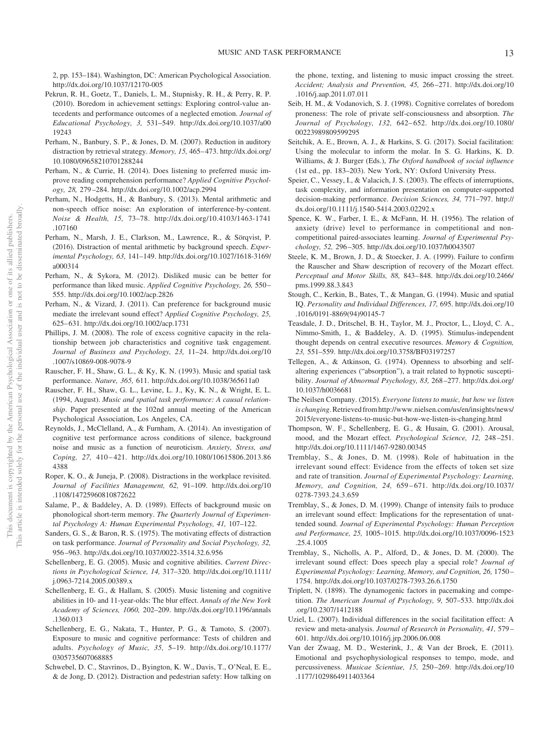2, pp. 153–184). Washington, DC: American Psychological Association. <http://dx.doi.org/10.1037/12170-005>

- Pekrun, R. H., Goetz, T., Daniels, L. M., Stupnisky, R. H., & Perry, R. P. (2010). Boredom in achievement settings: Exploring control-value antecedents and performance outcomes of a neglected emotion. *Journal of Educational Psychology, 3,* 531–549. [http://dx.doi.org/10.1037/a00](http://dx.doi.org/10.1037/a0019243) [19243](http://dx.doi.org/10.1037/a0019243)
- Perham, N., Banbury, S. P., & Jones, D. M. (2007). Reduction in auditory distraction by retrieval strategy. *Memory, 15,* 465– 473. [http://dx.doi.org/](http://dx.doi.org/10.1080/09658210701288244) [10.1080/09658210701288244](http://dx.doi.org/10.1080/09658210701288244)
- <span id="page-13-0"></span>Perham, N., & Currie, H. (2014). Does listening to preferred music improve reading comprehension performance? *Applied Cognitive Psychology, 28,* 279 –284.<http://dx.doi.org/10.1002/acp.2994>
- <span id="page-13-1"></span>Perham, N., Hodgetts, H., & Banbury, S. (2013). Mental arithmetic and non-speech office noise: An exploration of interference-by-content. *Noise & Health, 15,* 73–78. [http://dx.doi.org/10.4103/1463-1741](http://dx.doi.org/10.4103/1463-1741.107160) [.107160](http://dx.doi.org/10.4103/1463-1741.107160)
- <span id="page-13-2"></span>Perham, N., Marsh, J. E., Clarkson, M., Lawrence, R., & Sörqvist, P. (2016). Distraction of mental arithmetic by background speech. *Experimental Psychology, 63,* 141–149. [http://dx.doi.org/10.1027/1618-3169/](http://dx.doi.org/10.1027/1618-3169/a000314) [a000314](http://dx.doi.org/10.1027/1618-3169/a000314)
- Perham, N., & Sykora, M. (2012). Disliked music can be better for performance than liked music. *Applied Cognitive Psychology, 26,* 550 – 555.<http://dx.doi.org/10.1002/acp.2826>
- Perham, N., & Vizard, J. (2011). Can preference for background music mediate the irrelevant sound effect? *Applied Cognitive Psychology, 25,* 625– 631.<http://dx.doi.org/10.1002/acp.1731>
- Phillips, J. M. (2008). The role of excess cognitive capacity in the relationship between job characteristics and cognitive task engagement. *Journal of Business and Psychology, 23,* 11–24. [http://dx.doi.org/10](http://dx.doi.org/10.1007/s10869-008-9078-9) [.1007/s10869-008-9078-9](http://dx.doi.org/10.1007/s10869-008-9078-9)
- Rauscher, F. H., Shaw, G. L., & Ky, K. N. (1993). Music and spatial task performance. *Nature, 365,* 611.<http://dx.doi.org/10.1038/365611a0>
- Rauscher, F. H., Shaw, G. L., Levine, L. J., Ky, K. N., & Wright, E. L. (1994, August). *Music and spatial task performance: A causal relationship*. Paper presented at the 102nd annual meeting of the American Psychological Association, Los Angeles, CA.
- Reynolds, J., McClelland, A., & Furnham, A. (2014). An investigation of cognitive test performance across conditions of silence, background noise and music as a function of neuroticism. *Anxiety, Stress, and Coping, 27,* 410 – 421. [http://dx.doi.org/10.1080/10615806.2013.86](http://dx.doi.org/10.1080/10615806.2013.864388) [4388](http://dx.doi.org/10.1080/10615806.2013.864388)
- Roper, K. O., & Juneja, P. (2008). Distractions in the workplace revisited. *Journal of Facilities Management, 62,* 91–109. [http://dx.doi.org/10](http://dx.doi.org/10.1108/14725960810872622) [.1108/14725960810872622](http://dx.doi.org/10.1108/14725960810872622)
- Salame, P., & Baddeley, A. D. (1989). Effects of background music on phonological short-term memory. *The Quarterly Journal of Experimental Psychology A: Human Experimental Psychology, 41,* 107–122.
- Sanders, G. S., & Baron, R. S. (1975). The motivating effects of distraction on task performance. *Journal of Personality and Social Psychology, 32,* 956 –963.<http://dx.doi.org/10.1037/0022-3514.32.6.956>
- Schellenberg, E. G. (2005). Music and cognitive abilities. *Current Directions in Psychological Science, 14,* 317–320. [http://dx.doi.org/10.1111/](http://dx.doi.org/10.1111/j.0963-7214.2005.00389.x) [j.0963-7214.2005.00389.x](http://dx.doi.org/10.1111/j.0963-7214.2005.00389.x)
- Schellenberg, E. G., & Hallam, S. (2005). Music listening and cognitive abilities in 10- and 11-year-olds: The blur effect. *Annals of the New York Academy of Sciences, 1060,* 202–209. [http://dx.doi.org/10.1196/annals](http://dx.doi.org/10.1196/annals.1360.013) [.1360.013](http://dx.doi.org/10.1196/annals.1360.013)
- Schellenberg, E. G., Nakata, T., Hunter, P. G., & Tamoto, S. (2007). Exposure to music and cognitive performance: Tests of children and adults. *Psychology of Music, 35,* 5–19. [http://dx.doi.org/10.1177/](http://dx.doi.org/10.1177/0305735607068885) [0305735607068885](http://dx.doi.org/10.1177/0305735607068885)
- Schwebel, D. C., Stavrinos, D., Byington, K. W., Davis, T., O'Neal, E. E., & de Jong, D. (2012). Distraction and pedestrian safety: How talking on

the phone, texting, and listening to music impact crossing the street. *Accident; Analysis and Prevention, 45,* 266 –271. [http://dx.doi.org/10](http://dx.doi.org/10.1016/j.aap.2011.07.011) [.1016/j.aap.2011.07.011](http://dx.doi.org/10.1016/j.aap.2011.07.011)

- Seib, H. M., & Vodanovich, S. J. (1998). Cognitive correlates of boredom proneness: The role of private self-consciousness and absorption. *The Journal of Psychology, 132,* 642– 652. [http://dx.doi.org/10.1080/](http://dx.doi.org/10.1080/00223989809599295) [00223989809599295](http://dx.doi.org/10.1080/00223989809599295)
- Seitchik, A. E., Brown, A. J., & Harkins, S. G. (2017). Social facilitation: Using the molecular to inform the molar. In S. G. Harkins, K. D. Williams, & J. Burger (Eds.), *The Oxford handbook of social influence* (1st ed., pp. 183–203). New York, NY: Oxford University Press.
- Speier, C., Vessey, I., & Valacich, J. S. (2003). The effects of interruptions, task complexity, and information presentation on computer-supported decision-making performance. *Decision Sciences, 34,* 771–797. [http://](http://dx.doi.org/10.1111/j.1540-5414.2003.02292.x) [dx.doi.org/10.1111/j.1540-5414.2003.02292.x](http://dx.doi.org/10.1111/j.1540-5414.2003.02292.x)
- Spence, K. W., Farber, I. E., & McFann, H. H. (1956). The relation of anxiety (drive) level to performance in competitional and noncompetitional paired-associates learning. *Journal of Experimental Psychology, 52,* 296 –305.<http://dx.doi.org/10.1037/h0043507>
- Steele, K. M., Brown, J. D., & Stoecker, J. A. (1999). Failure to confirm the Rauscher and Shaw description of recovery of the Mozart effect. *Perceptual and Motor Skills, 88,* 843– 848. [http://dx.doi.org/10.2466/](http://dx.doi.org/10.2466/pms.1999.88.3.843) [pms.1999.88.3.843](http://dx.doi.org/10.2466/pms.1999.88.3.843)
- Stough, C., Kerkin, B., Bates, T., & Mangan, G. (1994). Music and spatial IQ. *Personality and Individual Differences, 17,* 695. [http://dx.doi.org/10](http://dx.doi.org/10.1016/0191-8869%2894%2990145-7) [.1016/0191-8869\(94\)90145-7](http://dx.doi.org/10.1016/0191-8869%2894%2990145-7)
- Teasdale, J. D., Dritschel, B. H., Taylor, M. J., Proctor, L., Lloyd, C. A., Nimmo-Smith, I., & Baddeley, A. D. (1995). Stimulus-independent thought depends on central executive resources. *Memory & Cognition, 23,* 551–559.<http://dx.doi.org/10.3758/BF03197257>
- Tellegen, A., & Atkinson, G. (1974). Openness to absorbing and selfaltering experiences ("absorption"), a trait related to hypnotic susceptibility. *Journal of Abnormal Psychology, 83,* 268 –277. [http://dx.doi.org/](http://dx.doi.org/10.1037/h0036681) [10.1037/h0036681](http://dx.doi.org/10.1037/h0036681)
- The Neilsen Company. (2015). *Everyone listens to music, but how we listen is changing*.Retrieved from [http://www.nielsen.com/us/en/insights/news/](http://www.nielsen.com/us/en/insights/news/2015/everyone-listens-to-music-but-how-we-listen-is-changing.html) [2015/everyone-listens-to-music-but-how-we-listen-is-changing.html](http://www.nielsen.com/us/en/insights/news/2015/everyone-listens-to-music-but-how-we-listen-is-changing.html)
- Thompson, W. F., Schellenberg, E. G., & Husain, G. (2001). Arousal, mood, and the Mozart effect. *Psychological Science, 12,* 248 –251. <http://dx.doi.org/10.1111/1467-9280.00345>
- Tremblay, S., & Jones, D. M. (1998). Role of habituation in the irrelevant sound effect: Evidence from the effects of token set size and rate of transition. *Journal of Experimental Psychology: Learning, Memory, and Cognition, 24,* 659 – 671. [http://dx.doi.org/10.1037/](http://dx.doi.org/10.1037/0278-7393.24.3.659) [0278-7393.24.3.659](http://dx.doi.org/10.1037/0278-7393.24.3.659)
- Tremblay, S., & Jones, D. M. (1999). Change of intensity fails to produce an irrelevant sound effect: Implications for the representation of unattended sound. *Journal of Experimental Psychology: Human Perception and Performance, 25,* 1005–1015. [http://dx.doi.org/10.1037/0096-1523](http://dx.doi.org/10.1037/0096-1523.25.4.1005) [.25.4.1005](http://dx.doi.org/10.1037/0096-1523.25.4.1005)
- Tremblay, S., Nicholls, A. P., Alford, D., & Jones, D. M. (2000). The irrelevant sound effect: Does speech play a special role? *Journal of Experimental Psychology: Learning, Memory, and Cognition, 26,* 1750 – 1754.<http://dx.doi.org/10.1037/0278-7393.26.6.1750>
- Triplett, N. (1898). The dynamogenic factors in pacemaking and competition. *The American Journal of Psychology, 9,* 507–533. [http://dx.doi](http://dx.doi.org/10.2307/1412188) [.org/10.2307/1412188](http://dx.doi.org/10.2307/1412188)
- Uziel, L. (2007). Individual differences in the social facilitation effect: A review and meta-analysis. *Journal of Research in Personality, 41,* 579 – 601.<http://dx.doi.org/10.1016/j.jrp.2006.06.008>
- Van der Zwaag, M. D., Westerink, J., & Van der Broek, E. (2011). Emotional and psychophysiological responses to tempo, mode, and percussiveness. *Musicae Scientiae, 15,* 250 –269. [http://dx.doi.org/10](http://dx.doi.org/10.1177/1029864911403364) [.1177/1029864911403364](http://dx.doi.org/10.1177/1029864911403364)